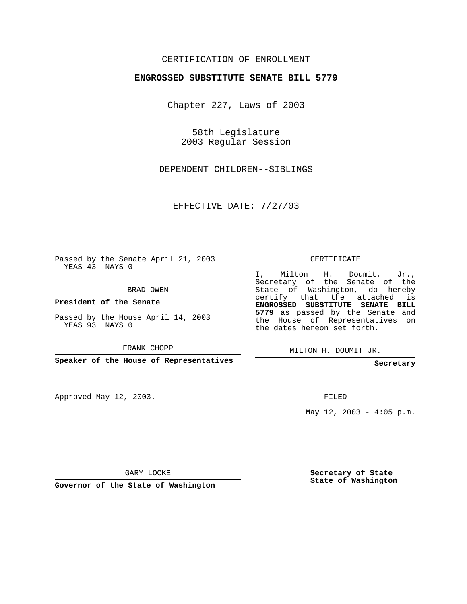## CERTIFICATION OF ENROLLMENT

## **ENGROSSED SUBSTITUTE SENATE BILL 5779**

Chapter 227, Laws of 2003

58th Legislature 2003 Regular Session

DEPENDENT CHILDREN--SIBLINGS

EFFECTIVE DATE: 7/27/03

Passed by the Senate April 21, 2003 YEAS 43 NAYS 0

BRAD OWEN

**President of the Senate**

Passed by the House April 14, 2003 YEAS 93 NAYS 0

FRANK CHOPP

**Speaker of the House of Representatives**

Approved May 12, 2003.

CERTIFICATE

I, Milton H. Doumit, Jr., Secretary of the Senate of the State of Washington, do hereby certify that the attached is **ENGROSSED SUBSTITUTE SENATE BILL 5779** as passed by the Senate and the House of Representatives on the dates hereon set forth.

MILTON H. DOUMIT JR.

**Secretary**

FILED

May  $12$ ,  $2003 - 4:05$  p.m.

GARY LOCKE

**Governor of the State of Washington**

**Secretary of State State of Washington**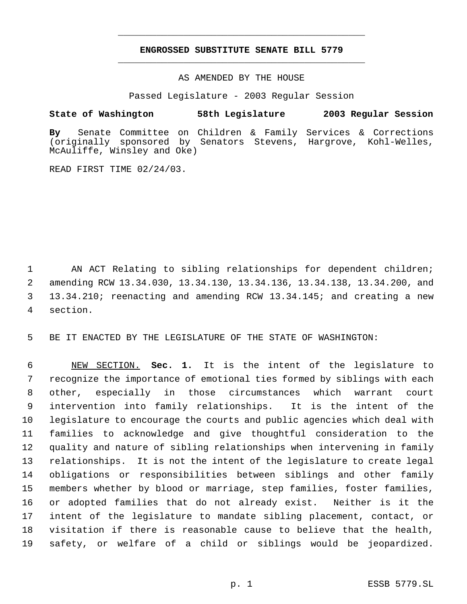## **ENGROSSED SUBSTITUTE SENATE BILL 5779** \_\_\_\_\_\_\_\_\_\_\_\_\_\_\_\_\_\_\_\_\_\_\_\_\_\_\_\_\_\_\_\_\_\_\_\_\_\_\_\_\_\_\_\_\_

\_\_\_\_\_\_\_\_\_\_\_\_\_\_\_\_\_\_\_\_\_\_\_\_\_\_\_\_\_\_\_\_\_\_\_\_\_\_\_\_\_\_\_\_\_

AS AMENDED BY THE HOUSE

Passed Legislature - 2003 Regular Session

## **State of Washington 58th Legislature 2003 Regular Session**

**By** Senate Committee on Children & Family Services & Corrections (originally sponsored by Senators Stevens, Hargrove, Kohl-Welles, McAuliffe, Winsley and Oke)

READ FIRST TIME 02/24/03.

1 AN ACT Relating to sibling relationships for dependent children; amending RCW 13.34.030, 13.34.130, 13.34.136, 13.34.138, 13.34.200, and 13.34.210; reenacting and amending RCW 13.34.145; and creating a new section.

5 BE IT ENACTED BY THE LEGISLATURE OF THE STATE OF WASHINGTON:

 NEW SECTION. **Sec. 1.** It is the intent of the legislature to recognize the importance of emotional ties formed by siblings with each other, especially in those circumstances which warrant court intervention into family relationships. It is the intent of the legislature to encourage the courts and public agencies which deal with families to acknowledge and give thoughtful consideration to the quality and nature of sibling relationships when intervening in family relationships. It is not the intent of the legislature to create legal obligations or responsibilities between siblings and other family members whether by blood or marriage, step families, foster families, or adopted families that do not already exist. Neither is it the intent of the legislature to mandate sibling placement, contact, or visitation if there is reasonable cause to believe that the health, safety, or welfare of a child or siblings would be jeopardized.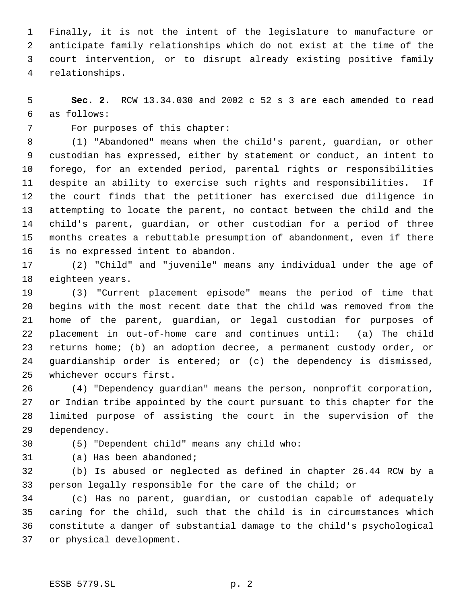Finally, it is not the intent of the legislature to manufacture or anticipate family relationships which do not exist at the time of the court intervention, or to disrupt already existing positive family relationships.

 **Sec. 2.** RCW 13.34.030 and 2002 c 52 s 3 are each amended to read as follows:

For purposes of this chapter:

 (1) "Abandoned" means when the child's parent, guardian, or other custodian has expressed, either by statement or conduct, an intent to forego, for an extended period, parental rights or responsibilities despite an ability to exercise such rights and responsibilities. If the court finds that the petitioner has exercised due diligence in attempting to locate the parent, no contact between the child and the child's parent, guardian, or other custodian for a period of three months creates a rebuttable presumption of abandonment, even if there is no expressed intent to abandon.

 (2) "Child" and "juvenile" means any individual under the age of eighteen years.

 (3) "Current placement episode" means the period of time that begins with the most recent date that the child was removed from the home of the parent, guardian, or legal custodian for purposes of placement in out-of-home care and continues until: (a) The child returns home; (b) an adoption decree, a permanent custody order, or guardianship order is entered; or (c) the dependency is dismissed, whichever occurs first.

 (4) "Dependency guardian" means the person, nonprofit corporation, or Indian tribe appointed by the court pursuant to this chapter for the limited purpose of assisting the court in the supervision of the dependency.

(5) "Dependent child" means any child who:

(a) Has been abandoned;

 (b) Is abused or neglected as defined in chapter 26.44 RCW by a person legally responsible for the care of the child; or

 (c) Has no parent, guardian, or custodian capable of adequately caring for the child, such that the child is in circumstances which constitute a danger of substantial damage to the child's psychological or physical development.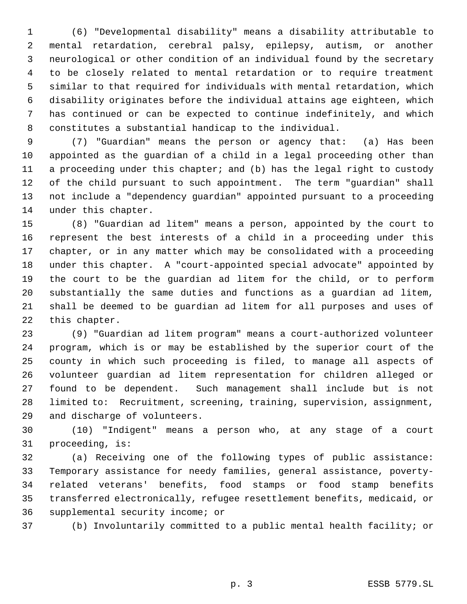(6) "Developmental disability" means a disability attributable to mental retardation, cerebral palsy, epilepsy, autism, or another neurological or other condition of an individual found by the secretary to be closely related to mental retardation or to require treatment similar to that required for individuals with mental retardation, which disability originates before the individual attains age eighteen, which has continued or can be expected to continue indefinitely, and which constitutes a substantial handicap to the individual.

 (7) "Guardian" means the person or agency that: (a) Has been appointed as the guardian of a child in a legal proceeding other than a proceeding under this chapter; and (b) has the legal right to custody of the child pursuant to such appointment. The term "guardian" shall not include a "dependency guardian" appointed pursuant to a proceeding under this chapter.

 (8) "Guardian ad litem" means a person, appointed by the court to represent the best interests of a child in a proceeding under this chapter, or in any matter which may be consolidated with a proceeding under this chapter. A "court-appointed special advocate" appointed by the court to be the guardian ad litem for the child, or to perform substantially the same duties and functions as a guardian ad litem, shall be deemed to be guardian ad litem for all purposes and uses of this chapter.

 (9) "Guardian ad litem program" means a court-authorized volunteer program, which is or may be established by the superior court of the county in which such proceeding is filed, to manage all aspects of volunteer guardian ad litem representation for children alleged or found to be dependent. Such management shall include but is not limited to: Recruitment, screening, training, supervision, assignment, and discharge of volunteers.

 (10) "Indigent" means a person who, at any stage of a court proceeding, is:

 (a) Receiving one of the following types of public assistance: Temporary assistance for needy families, general assistance, poverty- related veterans' benefits, food stamps or food stamp benefits transferred electronically, refugee resettlement benefits, medicaid, or supplemental security income; or

(b) Involuntarily committed to a public mental health facility; or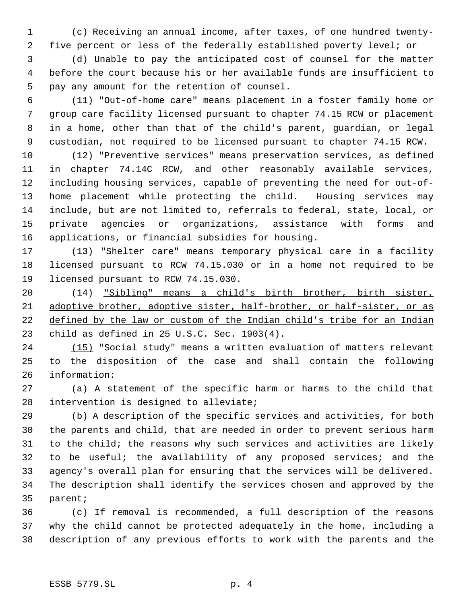(c) Receiving an annual income, after taxes, of one hundred twenty- five percent or less of the federally established poverty level; or

 (d) Unable to pay the anticipated cost of counsel for the matter before the court because his or her available funds are insufficient to pay any amount for the retention of counsel.

 (11) "Out-of-home care" means placement in a foster family home or group care facility licensed pursuant to chapter 74.15 RCW or placement in a home, other than that of the child's parent, guardian, or legal custodian, not required to be licensed pursuant to chapter 74.15 RCW.

 (12) "Preventive services" means preservation services, as defined in chapter 74.14C RCW, and other reasonably available services, including housing services, capable of preventing the need for out-of- home placement while protecting the child. Housing services may include, but are not limited to, referrals to federal, state, local, or private agencies or organizations, assistance with forms and applications, or financial subsidies for housing.

 (13) "Shelter care" means temporary physical care in a facility licensed pursuant to RCW 74.15.030 or in a home not required to be licensed pursuant to RCW 74.15.030.

 (14) "Sibling" means a child's birth brother, birth sister, adoptive brother, adoptive sister, half-brother, or half-sister, or as defined by the law or custom of the Indian child's tribe for an Indian child as defined in 25 U.S.C. Sec. 1903(4).

 (15) "Social study" means a written evaluation of matters relevant to the disposition of the case and shall contain the following information:

 (a) A statement of the specific harm or harms to the child that intervention is designed to alleviate;

 (b) A description of the specific services and activities, for both the parents and child, that are needed in order to prevent serious harm to the child; the reasons why such services and activities are likely to be useful; the availability of any proposed services; and the agency's overall plan for ensuring that the services will be delivered. The description shall identify the services chosen and approved by the parent;

 (c) If removal is recommended, a full description of the reasons why the child cannot be protected adequately in the home, including a description of any previous efforts to work with the parents and the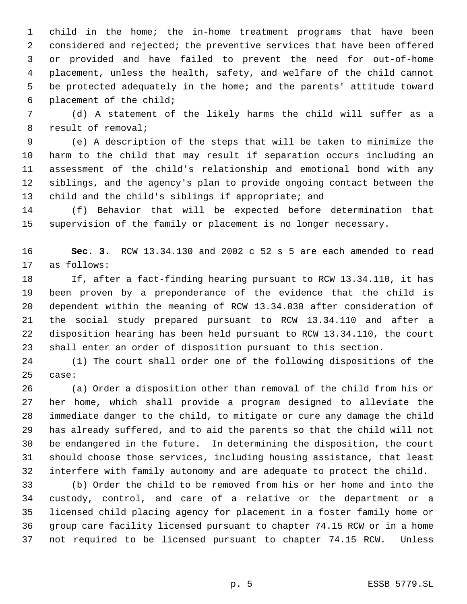child in the home; the in-home treatment programs that have been considered and rejected; the preventive services that have been offered or provided and have failed to prevent the need for out-of-home placement, unless the health, safety, and welfare of the child cannot be protected adequately in the home; and the parents' attitude toward placement of the child;

 (d) A statement of the likely harms the child will suffer as a result of removal;

 (e) A description of the steps that will be taken to minimize the harm to the child that may result if separation occurs including an assessment of the child's relationship and emotional bond with any siblings, and the agency's plan to provide ongoing contact between the child and the child's siblings if appropriate; and

 (f) Behavior that will be expected before determination that supervision of the family or placement is no longer necessary.

 **Sec. 3.** RCW 13.34.130 and 2002 c 52 s 5 are each amended to read as follows:

 If, after a fact-finding hearing pursuant to RCW 13.34.110, it has been proven by a preponderance of the evidence that the child is dependent within the meaning of RCW 13.34.030 after consideration of the social study prepared pursuant to RCW 13.34.110 and after a disposition hearing has been held pursuant to RCW 13.34.110, the court shall enter an order of disposition pursuant to this section.

 (1) The court shall order one of the following dispositions of the case:

 (a) Order a disposition other than removal of the child from his or her home, which shall provide a program designed to alleviate the immediate danger to the child, to mitigate or cure any damage the child has already suffered, and to aid the parents so that the child will not be endangered in the future. In determining the disposition, the court should choose those services, including housing assistance, that least interfere with family autonomy and are adequate to protect the child.

 (b) Order the child to be removed from his or her home and into the custody, control, and care of a relative or the department or a licensed child placing agency for placement in a foster family home or group care facility licensed pursuant to chapter 74.15 RCW or in a home not required to be licensed pursuant to chapter 74.15 RCW. Unless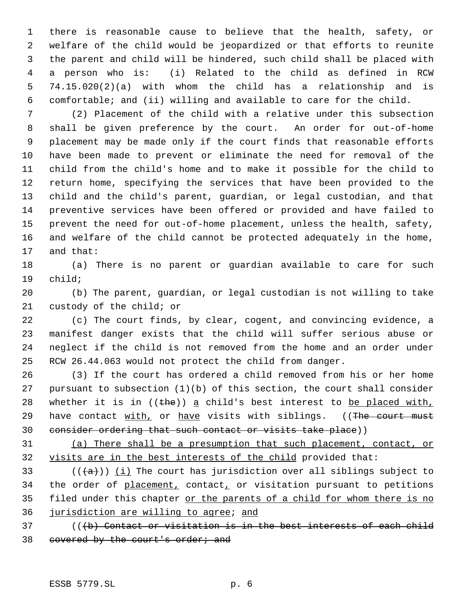there is reasonable cause to believe that the health, safety, or welfare of the child would be jeopardized or that efforts to reunite the parent and child will be hindered, such child shall be placed with a person who is: (i) Related to the child as defined in RCW 74.15.020(2)(a) with whom the child has a relationship and is comfortable; and (ii) willing and available to care for the child.

 (2) Placement of the child with a relative under this subsection shall be given preference by the court. An order for out-of-home placement may be made only if the court finds that reasonable efforts have been made to prevent or eliminate the need for removal of the child from the child's home and to make it possible for the child to return home, specifying the services that have been provided to the child and the child's parent, guardian, or legal custodian, and that preventive services have been offered or provided and have failed to prevent the need for out-of-home placement, unless the health, safety, and welfare of the child cannot be protected adequately in the home, and that:

 (a) There is no parent or guardian available to care for such child;

 (b) The parent, guardian, or legal custodian is not willing to take custody of the child; or

 (c) The court finds, by clear, cogent, and convincing evidence, a manifest danger exists that the child will suffer serious abuse or neglect if the child is not removed from the home and an order under RCW 26.44.063 would not protect the child from danger.

 (3) If the court has ordered a child removed from his or her home pursuant to subsection (1)(b) of this section, the court shall consider 28 whether it is in  $((the))^2$  a child's best interest to be placed with, 29 have contact with, or have visits with siblings. ((The court must consider ordering that such contact or visits take place))

 (a) There shall be a presumption that such placement, contact, or visits are in the best interests of the child provided that:

33 ( $(\overline{a})$ ) (i) The court has jurisdiction over all siblings subject to 34 the order of placement, contact, or visitation pursuant to petitions 35 filed under this chapter or the parents of a child for whom there is no jurisdiction are willing to agree; and

 (((b) Contact or visitation is in the best interests of each child 38 covered by the court's order; and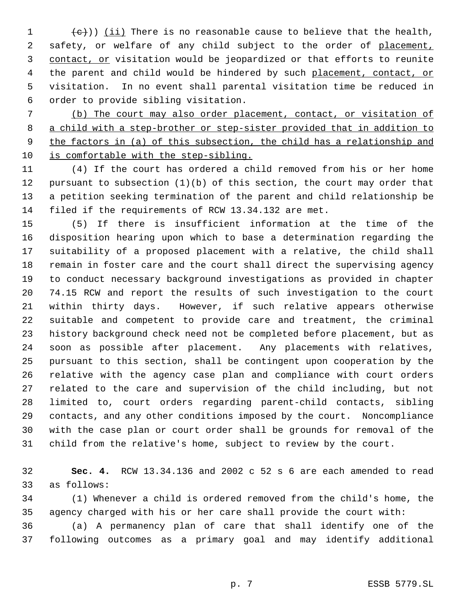1  $\left( \frac{e}{c} \right)$ ) (ii) There is no reasonable cause to believe that the health, 2 safety, or welfare of any child subject to the order of placement, 3 contact, or visitation would be jeopardized or that efforts to reunite 4 the parent and child would be hindered by such placement, contact, or visitation. In no event shall parental visitation time be reduced in order to provide sibling visitation.

 (b) The court may also order placement, contact, or visitation of a child with a step-brother or step-sister provided that in addition to the factors in (a) of this subsection, the child has a relationship and is comfortable with the step-sibling.

 (4) If the court has ordered a child removed from his or her home pursuant to subsection (1)(b) of this section, the court may order that a petition seeking termination of the parent and child relationship be filed if the requirements of RCW 13.34.132 are met.

 (5) If there is insufficient information at the time of the disposition hearing upon which to base a determination regarding the suitability of a proposed placement with a relative, the child shall remain in foster care and the court shall direct the supervising agency to conduct necessary background investigations as provided in chapter 74.15 RCW and report the results of such investigation to the court within thirty days. However, if such relative appears otherwise suitable and competent to provide care and treatment, the criminal history background check need not be completed before placement, but as soon as possible after placement. Any placements with relatives, pursuant to this section, shall be contingent upon cooperation by the relative with the agency case plan and compliance with court orders related to the care and supervision of the child including, but not limited to, court orders regarding parent-child contacts, sibling contacts, and any other conditions imposed by the court. Noncompliance with the case plan or court order shall be grounds for removal of the child from the relative's home, subject to review by the court.

 **Sec. 4.** RCW 13.34.136 and 2002 c 52 s 6 are each amended to read as follows:

 (1) Whenever a child is ordered removed from the child's home, the agency charged with his or her care shall provide the court with:

 (a) A permanency plan of care that shall identify one of the following outcomes as a primary goal and may identify additional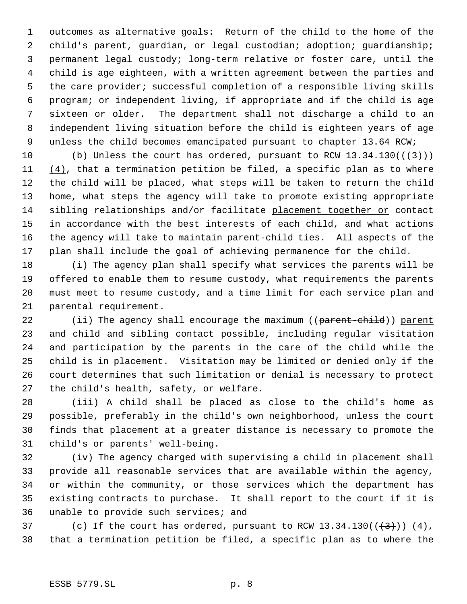outcomes as alternative goals: Return of the child to the home of the child's parent, guardian, or legal custodian; adoption; guardianship; permanent legal custody; long-term relative or foster care, until the child is age eighteen, with a written agreement between the parties and the care provider; successful completion of a responsible living skills program; or independent living, if appropriate and if the child is age sixteen or older. The department shall not discharge a child to an independent living situation before the child is eighteen years of age unless the child becomes emancipated pursuant to chapter 13.64 RCW;

10 (b) Unless the court has ordered, pursuant to RCW  $13.34.130((\leftarrow{3}))$  $(4)$ , that a termination petition be filed, a specific plan as to where the child will be placed, what steps will be taken to return the child home, what steps the agency will take to promote existing appropriate sibling relationships and/or facilitate placement together or contact in accordance with the best interests of each child, and what actions the agency will take to maintain parent-child ties. All aspects of the plan shall include the goal of achieving permanence for the child.

 (i) The agency plan shall specify what services the parents will be offered to enable them to resume custody, what requirements the parents must meet to resume custody, and a time limit for each service plan and parental requirement.

22 (ii) The agency shall encourage the maximum ((parent-child)) parent 23 and child and sibling contact possible, including regular visitation and participation by the parents in the care of the child while the child is in placement. Visitation may be limited or denied only if the court determines that such limitation or denial is necessary to protect the child's health, safety, or welfare.

 (iii) A child shall be placed as close to the child's home as possible, preferably in the child's own neighborhood, unless the court finds that placement at a greater distance is necessary to promote the child's or parents' well-being.

 (iv) The agency charged with supervising a child in placement shall provide all reasonable services that are available within the agency, or within the community, or those services which the department has existing contracts to purchase. It shall report to the court if it is unable to provide such services; and

37 (c) If the court has ordered, pursuant to RCW  $13.34.130((\left\lbrace 3 \right\rbrace))(\left\lbrace 4 \right\rbrace)$ , that a termination petition be filed, a specific plan as to where the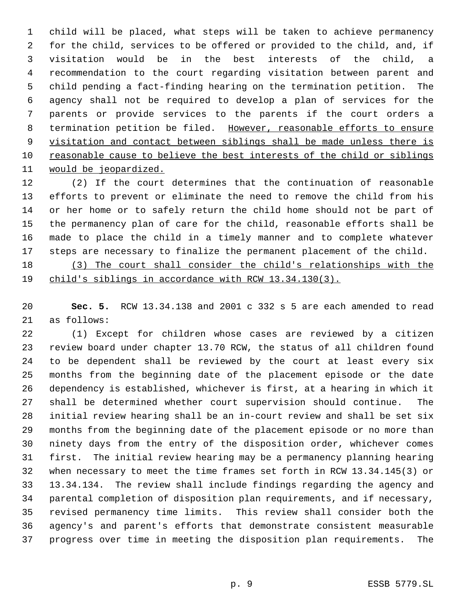child will be placed, what steps will be taken to achieve permanency for the child, services to be offered or provided to the child, and, if visitation would be in the best interests of the child, a recommendation to the court regarding visitation between parent and child pending a fact-finding hearing on the termination petition. The agency shall not be required to develop a plan of services for the parents or provide services to the parents if the court orders a 8 termination petition be filed. However, reasonable efforts to ensure 9 visitation and contact between siblings shall be made unless there is reasonable cause to believe the best interests of the child or siblings would be jeopardized.

 (2) If the court determines that the continuation of reasonable efforts to prevent or eliminate the need to remove the child from his or her home or to safely return the child home should not be part of the permanency plan of care for the child, reasonable efforts shall be made to place the child in a timely manner and to complete whatever steps are necessary to finalize the permanent placement of the child.

 (3) The court shall consider the child's relationships with the child's siblings in accordance with RCW 13.34.130(3).

 **Sec. 5.** RCW 13.34.138 and 2001 c 332 s 5 are each amended to read as follows:

 (1) Except for children whose cases are reviewed by a citizen review board under chapter 13.70 RCW, the status of all children found to be dependent shall be reviewed by the court at least every six months from the beginning date of the placement episode or the date dependency is established, whichever is first, at a hearing in which it shall be determined whether court supervision should continue. The initial review hearing shall be an in-court review and shall be set six months from the beginning date of the placement episode or no more than ninety days from the entry of the disposition order, whichever comes first. The initial review hearing may be a permanency planning hearing when necessary to meet the time frames set forth in RCW 13.34.145(3) or 13.34.134. The review shall include findings regarding the agency and parental completion of disposition plan requirements, and if necessary, revised permanency time limits. This review shall consider both the agency's and parent's efforts that demonstrate consistent measurable progress over time in meeting the disposition plan requirements. The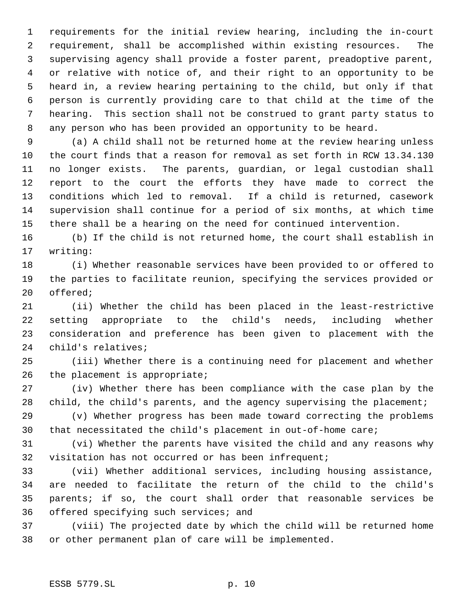requirements for the initial review hearing, including the in-court requirement, shall be accomplished within existing resources. The supervising agency shall provide a foster parent, preadoptive parent, or relative with notice of, and their right to an opportunity to be heard in, a review hearing pertaining to the child, but only if that person is currently providing care to that child at the time of the hearing. This section shall not be construed to grant party status to any person who has been provided an opportunity to be heard.

 (a) A child shall not be returned home at the review hearing unless the court finds that a reason for removal as set forth in RCW 13.34.130 no longer exists. The parents, guardian, or legal custodian shall report to the court the efforts they have made to correct the conditions which led to removal. If a child is returned, casework supervision shall continue for a period of six months, at which time there shall be a hearing on the need for continued intervention.

 (b) If the child is not returned home, the court shall establish in writing:

 (i) Whether reasonable services have been provided to or offered to the parties to facilitate reunion, specifying the services provided or offered;

 (ii) Whether the child has been placed in the least-restrictive setting appropriate to the child's needs, including whether consideration and preference has been given to placement with the child's relatives;

 (iii) Whether there is a continuing need for placement and whether the placement is appropriate;

 (iv) Whether there has been compliance with the case plan by the 28 child, the child's parents, and the agency supervising the placement;

 (v) Whether progress has been made toward correcting the problems that necessitated the child's placement in out-of-home care;

 (vi) Whether the parents have visited the child and any reasons why visitation has not occurred or has been infrequent;

 (vii) Whether additional services, including housing assistance, are needed to facilitate the return of the child to the child's parents; if so, the court shall order that reasonable services be offered specifying such services; and

 (viii) The projected date by which the child will be returned home or other permanent plan of care will be implemented.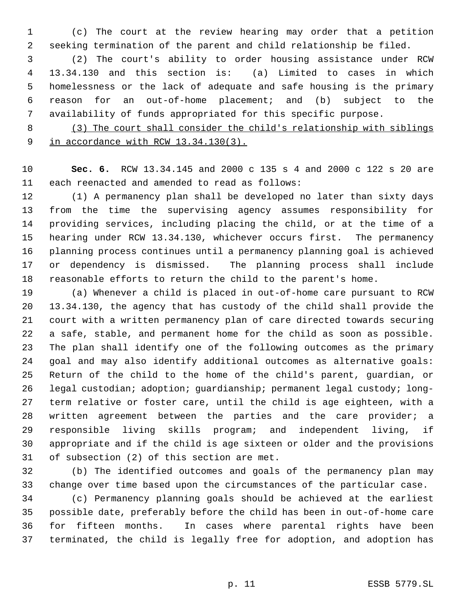(c) The court at the review hearing may order that a petition seeking termination of the parent and child relationship be filed.

 (2) The court's ability to order housing assistance under RCW 13.34.130 and this section is: (a) Limited to cases in which homelessness or the lack of adequate and safe housing is the primary reason for an out-of-home placement; and (b) subject to the availability of funds appropriated for this specific purpose.

 (3) The court shall consider the child's relationship with siblings in accordance with RCW 13.34.130(3).

 **Sec. 6.** RCW 13.34.145 and 2000 c 135 s 4 and 2000 c 122 s 20 are each reenacted and amended to read as follows:

 (1) A permanency plan shall be developed no later than sixty days from the time the supervising agency assumes responsibility for providing services, including placing the child, or at the time of a hearing under RCW 13.34.130, whichever occurs first. The permanency planning process continues until a permanency planning goal is achieved or dependency is dismissed. The planning process shall include reasonable efforts to return the child to the parent's home.

 (a) Whenever a child is placed in out-of-home care pursuant to RCW 13.34.130, the agency that has custody of the child shall provide the court with a written permanency plan of care directed towards securing a safe, stable, and permanent home for the child as soon as possible. The plan shall identify one of the following outcomes as the primary goal and may also identify additional outcomes as alternative goals: Return of the child to the home of the child's parent, guardian, or legal custodian; adoption; guardianship; permanent legal custody; long- term relative or foster care, until the child is age eighteen, with a written agreement between the parties and the care provider; a responsible living skills program; and independent living, if appropriate and if the child is age sixteen or older and the provisions of subsection (2) of this section are met.

 (b) The identified outcomes and goals of the permanency plan may change over time based upon the circumstances of the particular case.

 (c) Permanency planning goals should be achieved at the earliest possible date, preferably before the child has been in out-of-home care for fifteen months. In cases where parental rights have been terminated, the child is legally free for adoption, and adoption has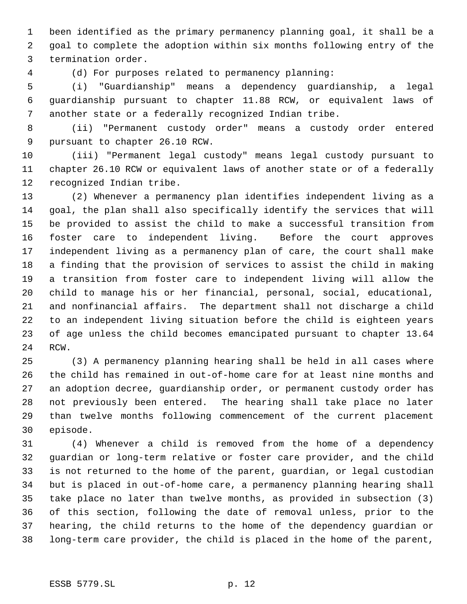been identified as the primary permanency planning goal, it shall be a goal to complete the adoption within six months following entry of the termination order.

(d) For purposes related to permanency planning:

 (i) "Guardianship" means a dependency guardianship, a legal guardianship pursuant to chapter 11.88 RCW, or equivalent laws of another state or a federally recognized Indian tribe.

 (ii) "Permanent custody order" means a custody order entered pursuant to chapter 26.10 RCW.

 (iii) "Permanent legal custody" means legal custody pursuant to chapter 26.10 RCW or equivalent laws of another state or of a federally recognized Indian tribe.

 (2) Whenever a permanency plan identifies independent living as a goal, the plan shall also specifically identify the services that will be provided to assist the child to make a successful transition from foster care to independent living. Before the court approves independent living as a permanency plan of care, the court shall make a finding that the provision of services to assist the child in making a transition from foster care to independent living will allow the child to manage his or her financial, personal, social, educational, and nonfinancial affairs. The department shall not discharge a child to an independent living situation before the child is eighteen years of age unless the child becomes emancipated pursuant to chapter 13.64 RCW.

 (3) A permanency planning hearing shall be held in all cases where the child has remained in out-of-home care for at least nine months and an adoption decree, guardianship order, or permanent custody order has not previously been entered. The hearing shall take place no later than twelve months following commencement of the current placement episode.

 (4) Whenever a child is removed from the home of a dependency guardian or long-term relative or foster care provider, and the child is not returned to the home of the parent, guardian, or legal custodian but is placed in out-of-home care, a permanency planning hearing shall take place no later than twelve months, as provided in subsection (3) of this section, following the date of removal unless, prior to the hearing, the child returns to the home of the dependency guardian or long-term care provider, the child is placed in the home of the parent,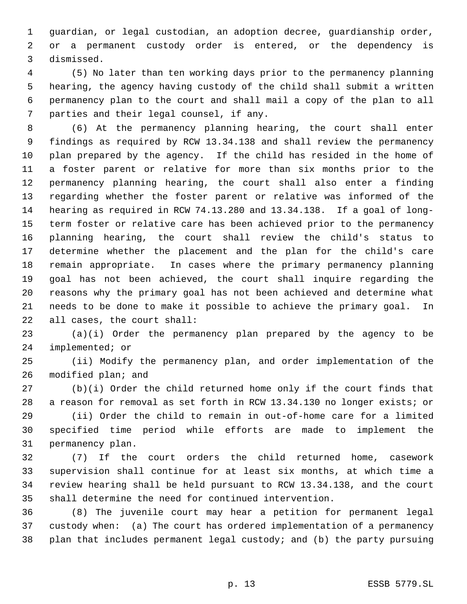guardian, or legal custodian, an adoption decree, guardianship order, or a permanent custody order is entered, or the dependency is dismissed.

 (5) No later than ten working days prior to the permanency planning hearing, the agency having custody of the child shall submit a written permanency plan to the court and shall mail a copy of the plan to all parties and their legal counsel, if any.

 (6) At the permanency planning hearing, the court shall enter findings as required by RCW 13.34.138 and shall review the permanency plan prepared by the agency. If the child has resided in the home of a foster parent or relative for more than six months prior to the permanency planning hearing, the court shall also enter a finding regarding whether the foster parent or relative was informed of the hearing as required in RCW 74.13.280 and 13.34.138. If a goal of long- term foster or relative care has been achieved prior to the permanency planning hearing, the court shall review the child's status to determine whether the placement and the plan for the child's care remain appropriate. In cases where the primary permanency planning goal has not been achieved, the court shall inquire regarding the reasons why the primary goal has not been achieved and determine what needs to be done to make it possible to achieve the primary goal. In all cases, the court shall:

 (a)(i) Order the permanency plan prepared by the agency to be implemented; or

 (ii) Modify the permanency plan, and order implementation of the modified plan; and

 (b)(i) Order the child returned home only if the court finds that a reason for removal as set forth in RCW 13.34.130 no longer exists; or

 (ii) Order the child to remain in out-of-home care for a limited specified time period while efforts are made to implement the permanency plan.

 (7) If the court orders the child returned home, casework supervision shall continue for at least six months, at which time a review hearing shall be held pursuant to RCW 13.34.138, and the court shall determine the need for continued intervention.

 (8) The juvenile court may hear a petition for permanent legal custody when: (a) The court has ordered implementation of a permanency plan that includes permanent legal custody; and (b) the party pursuing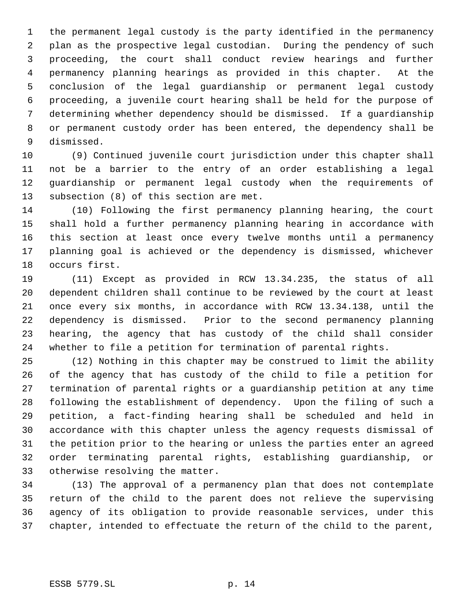the permanent legal custody is the party identified in the permanency plan as the prospective legal custodian. During the pendency of such proceeding, the court shall conduct review hearings and further permanency planning hearings as provided in this chapter. At the conclusion of the legal guardianship or permanent legal custody proceeding, a juvenile court hearing shall be held for the purpose of determining whether dependency should be dismissed. If a guardianship or permanent custody order has been entered, the dependency shall be dismissed.

 (9) Continued juvenile court jurisdiction under this chapter shall not be a barrier to the entry of an order establishing a legal guardianship or permanent legal custody when the requirements of subsection (8) of this section are met.

 (10) Following the first permanency planning hearing, the court shall hold a further permanency planning hearing in accordance with this section at least once every twelve months until a permanency planning goal is achieved or the dependency is dismissed, whichever occurs first.

 (11) Except as provided in RCW 13.34.235, the status of all dependent children shall continue to be reviewed by the court at least once every six months, in accordance with RCW 13.34.138, until the dependency is dismissed. Prior to the second permanency planning hearing, the agency that has custody of the child shall consider whether to file a petition for termination of parental rights.

 (12) Nothing in this chapter may be construed to limit the ability of the agency that has custody of the child to file a petition for termination of parental rights or a guardianship petition at any time following the establishment of dependency. Upon the filing of such a petition, a fact-finding hearing shall be scheduled and held in accordance with this chapter unless the agency requests dismissal of the petition prior to the hearing or unless the parties enter an agreed order terminating parental rights, establishing guardianship, or otherwise resolving the matter.

 (13) The approval of a permanency plan that does not contemplate return of the child to the parent does not relieve the supervising agency of its obligation to provide reasonable services, under this chapter, intended to effectuate the return of the child to the parent,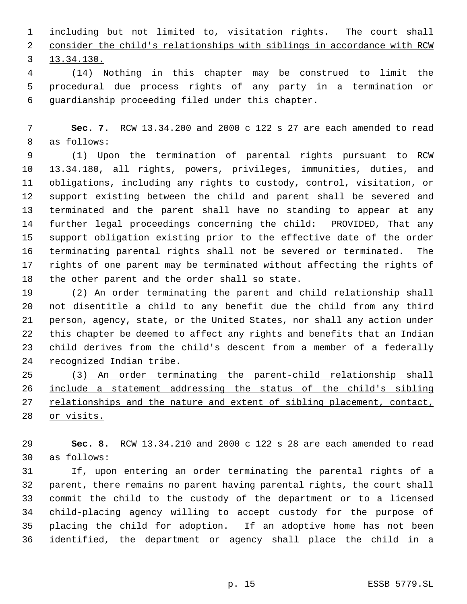1 including but not limited to, visitation rights. The court shall consider the child's relationships with siblings in accordance with RCW 13.34.130.

 (14) Nothing in this chapter may be construed to limit the procedural due process rights of any party in a termination or guardianship proceeding filed under this chapter.

 **Sec. 7.** RCW 13.34.200 and 2000 c 122 s 27 are each amended to read as follows:

 (1) Upon the termination of parental rights pursuant to RCW 13.34.180, all rights, powers, privileges, immunities, duties, and obligations, including any rights to custody, control, visitation, or support existing between the child and parent shall be severed and terminated and the parent shall have no standing to appear at any further legal proceedings concerning the child: PROVIDED, That any support obligation existing prior to the effective date of the order terminating parental rights shall not be severed or terminated. The rights of one parent may be terminated without affecting the rights of the other parent and the order shall so state.

 (2) An order terminating the parent and child relationship shall not disentitle a child to any benefit due the child from any third person, agency, state, or the United States, nor shall any action under this chapter be deemed to affect any rights and benefits that an Indian child derives from the child's descent from a member of a federally recognized Indian tribe.

 (3) An order terminating the parent-child relationship shall include a statement addressing the status of the child's sibling 27 relationships and the nature and extent of sibling placement, contact, or visits.

 **Sec. 8.** RCW 13.34.210 and 2000 c 122 s 28 are each amended to read as follows:

 If, upon entering an order terminating the parental rights of a parent, there remains no parent having parental rights, the court shall commit the child to the custody of the department or to a licensed child-placing agency willing to accept custody for the purpose of placing the child for adoption. If an adoptive home has not been identified, the department or agency shall place the child in a